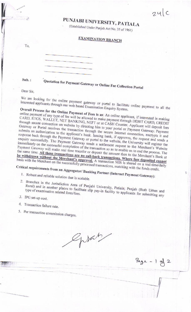## $24C$

## PUNJABI UNIVERSITY, PATIALA

(Established Under Punjab Act No. 35 of 1961)

## **EXAMINATION BRANCH**

To.

Sub.:

Quotation for Payment Gateway or Online Fee Collection Portal

Dear Sir,

We are looking for the online payment gateway or portal to facilitate online payment to all the interested applicants through our web based Examination Enquiry System.

Overall Process for the Online Payment of Fees is as: An online applicant, if interested in making online payment of any type of fee will be allowed to make payment through DEBIT CARD, CREDIT CARD, RTGS, WALLET, NET BANKING, NEFT or at CASH Counter. Applicant will deposit fees through secure connection on website by directing him to your portal or Payment Gateway. Payment Gateway or Portal receives the transaction through the secure Internet connection, encrypts it and submits an authorization to the applicant's bank. Issuing bank, if approves, the request and sends a response back through the Payment Gateway or portal to the website, the University will register the enquiry successfully. The Payment Gateway sends a settlement request to the Merchant's Website immediately on the successful completion of the transaction so as to enable us to end the process. The Payment Gateway will make real time transfer or deposit the amount then to the Merchant's Bank at the same time. All these transactions are no call-back transactions. Where fees deposited cannot be withdrawn without the Merchant's approval. A transaction MIS is shared on a real-time/daily basis with the Merchant on the successfully processed transactions, matching with the funds credit.

Critical requirements from an Aggregator/Banking Partner (Internet Payment Gateway):

- 1. Robust and reliable solution that is scalable.
- 2. Branches in the Jurisdiction Area of Punjabi University, Patiala; Punjab (Both Urban and Rural) and in another places to facilitate slip pay-in facility to applicants for submitting any
- 3. IPG set-up cost.
- 4. Transaction failure rate.
- 5. Per transaction commission charges.

Sprah